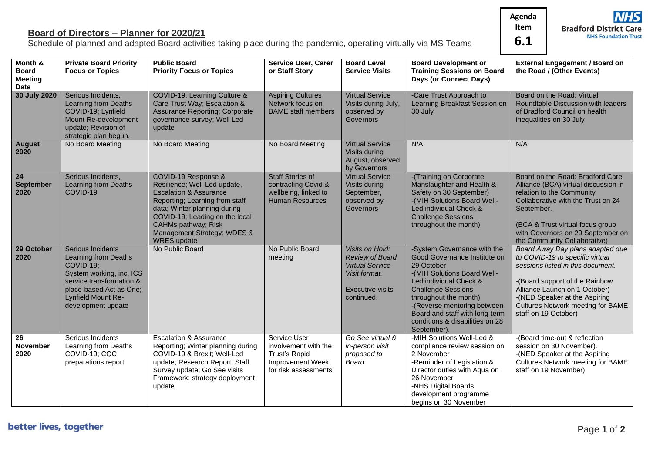**Agenda Item**

**6.1**

## **Board of Directors – Planner for 2020/21**

Schedule of planned and adapted Board activities taking place during the pandemic, operating virtually via MS Teams

**Bradford District Care** 

**NHS Foundation Trust** 

**NHS** 

| Month &<br><b>Board</b><br><b>Meeting</b> | <b>Private Board Priority</b><br><b>Focus or Topics</b>                                                                                                                               | <b>Public Board</b><br><b>Priority Focus or Topics</b>                                                                                                                                                                                                                   | <b>Service User, Carer</b><br>or Staff Story                                                             | <b>Board Level</b><br><b>Service Visits</b>                                                                                          | <b>Board Development or</b><br><b>Training Sessions on Board</b><br>Days (or Connect Days)                                                                                                                                                                                                                  | <b>External Engagement / Board on</b><br>the Road / (Other Events)                                                                                                                                                                                                               |
|-------------------------------------------|---------------------------------------------------------------------------------------------------------------------------------------------------------------------------------------|--------------------------------------------------------------------------------------------------------------------------------------------------------------------------------------------------------------------------------------------------------------------------|----------------------------------------------------------------------------------------------------------|--------------------------------------------------------------------------------------------------------------------------------------|-------------------------------------------------------------------------------------------------------------------------------------------------------------------------------------------------------------------------------------------------------------------------------------------------------------|----------------------------------------------------------------------------------------------------------------------------------------------------------------------------------------------------------------------------------------------------------------------------------|
| Date                                      |                                                                                                                                                                                       |                                                                                                                                                                                                                                                                          |                                                                                                          |                                                                                                                                      |                                                                                                                                                                                                                                                                                                             |                                                                                                                                                                                                                                                                                  |
| 30 July 2020                              | Serious Incidents,<br>Learning from Deaths<br>COVID-19; Lynfield<br>Mount Re-development<br>update; Revision of<br>strategic plan begun.                                              | COVID-19, Learning Culture &<br>Care Trust Way; Escalation &<br><b>Assurance Reporting; Corporate</b><br>governance survey; Well Led<br>update                                                                                                                           | <b>Aspiring Cultures</b><br>Network focus on<br><b>BAME</b> staff members                                | <b>Virtual Service</b><br>Visits during July,<br>observed by<br>Governors                                                            | -Care Trust Approach to<br>Learning Breakfast Session on<br>30 July                                                                                                                                                                                                                                         | Board on the Road: Virtual<br>Roundtable Discussion with leaders<br>of Bradford Council on health<br>inequalities on 30 July                                                                                                                                                     |
| <b>August</b><br>2020                     | No Board Meeting                                                                                                                                                                      | No Board Meeting                                                                                                                                                                                                                                                         | No Board Meeting                                                                                         | <b>Virtual Service</b><br>Visits during<br>August, observed<br>by Governors                                                          | N/A                                                                                                                                                                                                                                                                                                         | N/A                                                                                                                                                                                                                                                                              |
| 24<br><b>September</b><br>2020            | Serious Incidents,<br>Learning from Deaths<br>COVID-19                                                                                                                                | COVID-19 Response &<br>Resilience; Well-Led update,<br><b>Escalation &amp; Assurance</b><br>Reporting; Learning from staff<br>data; Winter planning during<br>COVID-19; Leading on the local<br>CAHMs pathway; Risk<br>Management Strategy; WDES &<br><b>WRES</b> update | <b>Staff Stories of</b><br>contracting Covid &<br>wellbeing, linked to<br><b>Human Resources</b>         | <b>Virtual Service</b><br>Visits during<br>September,<br>observed by<br>Governors                                                    | -(Training on Corporate<br>Manslaughter and Health &<br>Safety on 30 September)<br>-(MIH Solutions Board Well-<br>Led individual Check &<br><b>Challenge Sessions</b><br>throughout the month)                                                                                                              | Board on the Road: Bradford Care<br>Alliance (BCA) virtual discussion in<br>relation to the Community<br>Collaborative with the Trust on 24<br>September.<br>(BCA & Trust virtual focus group<br>with Governors on 29 September on<br>the Community Collaborative)               |
| 29 October<br>2020                        | Serious Incidents<br>Learning from Deaths<br>COVID-19;<br>System working, inc. ICS<br>service transformation &<br>place-based Act as One;<br>Lynfield Mount Re-<br>development update | No Public Board                                                                                                                                                                                                                                                          | No Public Board<br>meeting                                                                               | <b>Visits on Hold:</b><br><b>Review of Board</b><br><b>Virtual Service</b><br>Visit format.<br><b>Executive visits</b><br>continued. | -System Governance with the<br>Good Governance Institute on<br>29 October<br>-(MIH Solutions Board Well-<br>Led individual Check &<br><b>Challenge Sessions</b><br>throughout the month)<br>-(Reverse mentoring between<br>Board and staff with long-term<br>conditions & disabilities on 28<br>September). | Board Away Day plans adapted due<br>to COVID-19 to specific virtual<br>sessions listed in this document.<br>-(Board support of the Rainbow<br>Alliance Launch on 1 October)<br>-(NED Speaker at the Aspiring<br><b>Cultures Network meeting for BAME</b><br>staff on 19 October) |
| 26<br>November<br>2020                    | Serious Incidents<br>Learning from Deaths<br>COVID-19; CQC<br>preparations report                                                                                                     | <b>Escalation &amp; Assurance</b><br>Reporting; Winter planning during<br>COVID-19 & Brexit; Well-Led<br>update; Research Report: Staff<br>Survey update; Go See visits<br>Framework; strategy deployment<br>update.                                                     | Service User<br>involvement with the<br><b>Trust's Rapid</b><br>Improvement Week<br>for risk assessments | Go See virtual &<br>in-person visit<br>proposed to<br>Board.                                                                         | -MIH Solutions Well-Led &<br>compliance review session on<br>2 November<br>-Reminder of Legislation &<br>Director duties with Aqua on<br>26 November<br>-NHS Digital Boards<br>development programme<br>begins on 30 November                                                                               | -(Board time-out & reflection<br>session on 30 November).<br>-(NED Speaker at the Aspiring<br><b>Cultures Network meeting for BAME</b><br>staff on 19 November)                                                                                                                  |